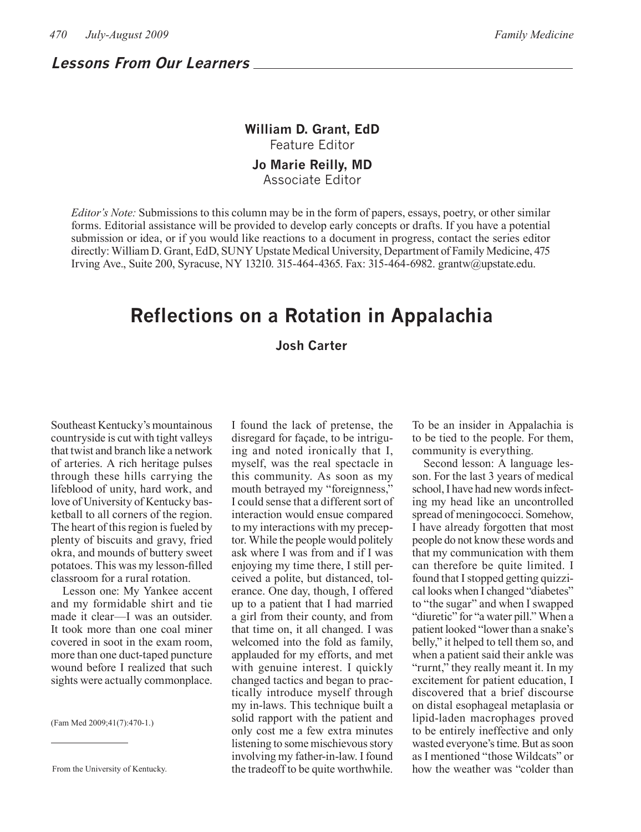### **Lessons From Our Learners**

## **William D. Grant, EdD** Feature Editor

#### **Jo Marie Reilly, MD** Associate Editor

*Editor's Note:* Submissions to this column may be in the form of papers, essays, poetry, or other similar forms. Editorial assistance will be provided to develop early concepts or drafts. If you have a potential submission or idea, or if you would like reactions to a document in progress, contact the series editor directly: William D. Grant, EdD, SUNY Upstate Medical University, Department of Family Medicine, 475 Irving Ave., Suite 200, Syracuse, NY 13210. 315-464-4365. Fax: 315-464-6982. grantw@upstate.edu.

# **Reflections on a Rotation in Appalachia**

#### **Josh Carter**

Southeast Kentucky's mountainous countryside is cut with tight valleys that twist and branch like a network of arteries. A rich heritage pulses through these hills carrying the lifeblood of unity, hard work, and love of University of Kentucky basketball to all corners of the region. The heart of this region is fueled by plenty of biscuits and gravy, fried okra, and mounds of buttery sweet potatoes. This was my lesson-filled classroom for a rural rotation.

Lesson one: My Yankee accent and my formidable shirt and tie made it clear—I was an outsider. It took more than one coal miner covered in soot in the exam room, more than one duct-taped puncture wound before I realized that such sights were actually commonplace.

(Fam Med 2009;41(7):470-1.)

I found the lack of pretense, the disregard for façade, to be intriguing and noted ironically that I, myself, was the real spectacle in this community. As soon as my mouth betrayed my "foreignness," I could sense that a different sort of interaction would ensue compared to my interactions with my preceptor. While the people would politely ask where I was from and if I was enjoying my time there, I still perceived a polite, but distanced, tolerance. One day, though, I offered up to a patient that I had married a girl from their county, and from that time on, it all changed. I was welcomed into the fold as family, applauded for my efforts, and met with genuine interest. I quickly changed tactics and began to practically introduce myself through my in-laws. This technique built a solid rapport with the patient and only cost me a few extra minutes listening to some mischievous story involving my father-in-law. I found the tradeoff to be quite worthwhile.

To be an insider in Appalachia is to be tied to the people. For them, community is everything.

Second lesson: A language lesson. For the last 3 years of medical school, I have had new words infecting my head like an uncontrolled spread of meningococci. Somehow, I have already forgotten that most people do not know these words and that my communication with them can therefore be quite limited. I found that I stopped getting quizzical looks when I changed "diabetes" to "the sugar" and when I swapped "diuretic" for "a water pill." When a patient looked "lower than a snake's belly," it helped to tell them so, and when a patient said their ankle was "rurnt," they really meant it. In my excitement for patient education, I discovered that a brief discourse on distal esophageal metaplasia or lipid-laden macrophages proved to be entirely ineffective and only wasted everyone's time. But as soon as I mentioned "those Wildcats" or how the weather was "colder than

From the University of Kentucky.